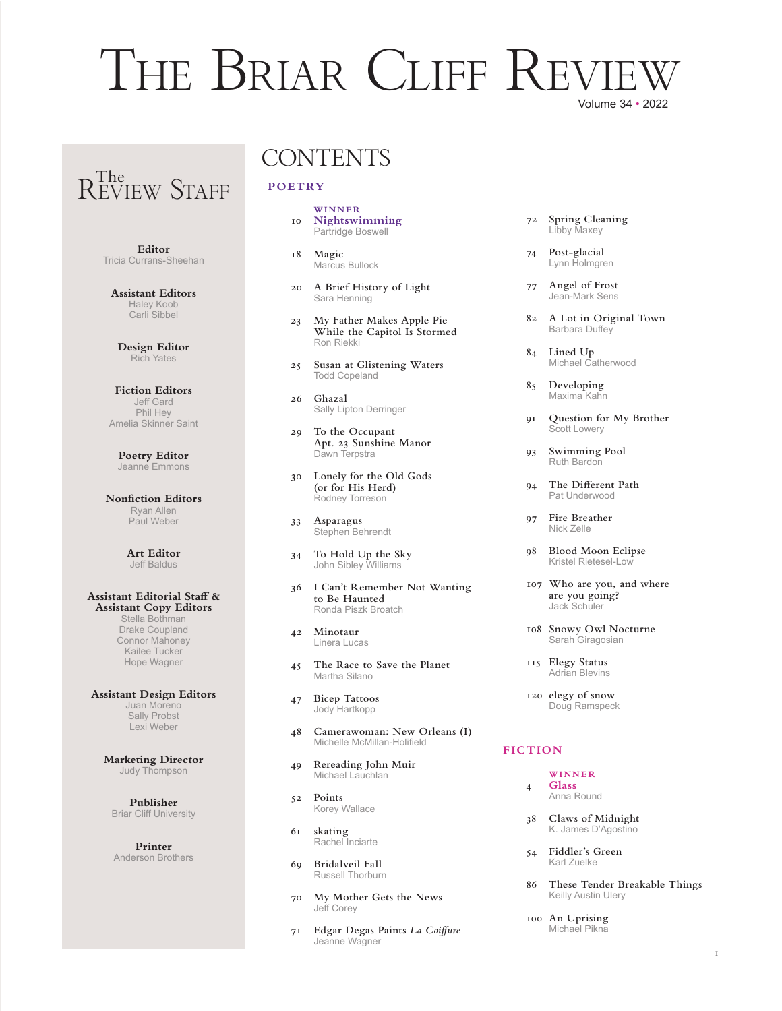## Volume 34 • 2022 THE BRIAR CLIFF REVI

# R<sup>The</sup> STAFF

**Editor** Tricia Currans-Sheehan

**Assistant Editors** Haley Koob Carli Sibbel

**Design Editor** Rich Yates

**Fiction Editors** Jeff Gard Phil Hey Amelia Skinner Saint

**Poetry Editor** Jeanne Emmons

**Nonfiction Editors** Ryan Allen Paul Weber

> **Art Editor** Jeff Baldus

#### **Assistant Editorial Staff & Assistant Copy Editors** Stella Bothman Drake Coupland

Connor Mahoney Kailee Tucker Hope Wagner

**Assistant Design Editors** Juan Moreno Sally Probst Lexi Weber

> **Marketing Director** Judy Thompson

**Publisher** Briar Cliff University

**Printer** Anderson Brothers

### **CONTENTS**

#### **POETRY**

- **WINNER 10 Nightswimming**Partridge Boswell
- **18 Magic** Marcus Bullock
- **20 A Brief History of Light** Sara Henning
- **23 My Father Makes Apple Pie While the Capitol Is Stormed**Ron Riekki
- **25 Susan at Glistening Waters** Todd Copeland
- **26 Ghazal** Sally Lipton Derringer
- **29 To the Occupant Apt. 23 Sunshine Manor** Dawn Terpstra
- **30 Lonely for the Old Gods (or for His Herd)** Rodney Torreson
- **33 Asparagus** Stephen Behrendt
- **34 To Hold Up the Sky** John Sibley Williams
- **36 I Can't Remember Not Wanting to Be Haunted** Ronda Piszk Broatch
- **42 Minotaur** Linera Lucas
- **45 The Race to Save the Planet** Martha Silano
- **47 Bicep Tattoos**Jody Hartkopp
- **48 Camerawoman: New Orleans (I)** Michelle McMillan-Holifield
- **49 Rereading John Muir** Michael Lauchlan
- **52 Points** Korey Wallace
- **61 skating** Rachel Inciarte
- **69 Bridalveil Fall** Russell Thorburn
- **70 My Mother Gets the News** Jeff Corey
- **71 Edgar Degas Paints** *La Coiffure* Jeanne Wagner
- **72 Spring Cleaning** Libby Maxey
- **74 Post-glacial** Lynn Holmgren
- **77 Angel of Frost** Jean-Mark Sens
- **82 A Lot in Original Town** Barbara Duffey
- **84 Lined Up**Michael Catherwood
- **85 Developing** Maxima Kahn
- **91 Question for My Brother** Scott Lowery
- **93 Swimming Pool** Ruth Bardon
- **94 The Different Path**Pat Underwood
- **97 Fire Breather** Nick Zelle
- **98 Blood Moon Eclipse**  Kristel Rietesel-Low
- **107 Who are you, and where are you going?**Jack Schuler
- **108 Snowy Owl Nocturne** Sarah Giragosian
- **115 Elegy Status** Adrian Blevins
- **120 elegy of snow** Doug Ramspeck

#### **FICTION**

#### **WINNER**

- **4 Glass**Anna Round
- **38 Claws of Midnight** K. James D'Agostino
- **54 Fiddler's Green** Karl Zuelke
- **86 These Tender Breakable Things** Keilly Austin Ulery
- **100 An Uprising** Michael Pikna